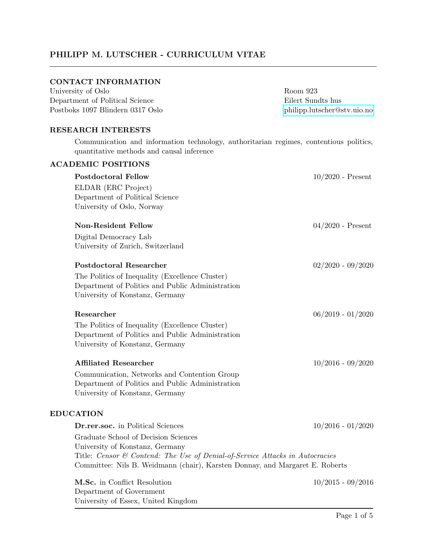# PHILIPP M. LUTSCHER - CURRICULUM VITAE

# CONTACT INFORMATION

| University of Oslo               | Room 923                    |
|----------------------------------|-----------------------------|
| Department of Political Science  | Eilert Sundts hus           |
| Postboks 1097 Blindern 0317 Oslo | philipp.lutscher@stv.uio.no |

## RESEARCH INTERESTS

University of Essex, United Kingdom

Communication and information technology, authoritarian regimes, contentious politics, quantitative methods and causal inference

| <b>ACADEMIC POSITIONS</b>    |                                                                              |                     |
|------------------------------|------------------------------------------------------------------------------|---------------------|
| <b>Postdoctoral Fellow</b>   |                                                                              | $10/2020$ - Present |
| ELDAR (ERC Project)          |                                                                              |                     |
|                              | Department of Political Science                                              |                     |
|                              | University of Oslo, Norway                                                   |                     |
| <b>Non-Resident Fellow</b>   |                                                                              | $04/2020$ - Present |
| Digital Democracy Lab        |                                                                              |                     |
|                              | University of Zurich, Switzerland                                            |                     |
|                              | <b>Postdoctoral Researcher</b>                                               | $02/2020 - 09/2020$ |
|                              | The Politics of Inequality (Excellence Cluster)                              |                     |
|                              | Department of Politics and Public Administration                             |                     |
|                              | University of Konstanz, Germany                                              |                     |
| Researcher                   |                                                                              | $06/2019 - 01/2020$ |
|                              | The Politics of Inequality (Excellence Cluster)                              |                     |
|                              | Department of Politics and Public Administration                             |                     |
|                              | University of Konstanz, Germany                                              |                     |
| <b>Affiliated Researcher</b> |                                                                              | $10/2016 - 09/2020$ |
|                              | Communication, Networks and Contention Group                                 |                     |
|                              | Department of Politics and Public Administration                             |                     |
|                              | University of Konstanz, Germany                                              |                     |
| <b>EDUCATION</b>             |                                                                              |                     |
|                              | <b>Dr.rer.soc.</b> in Political Sciences                                     | $10/2016 - 01/2020$ |
|                              | Graduate School of Decision Sciences                                         |                     |
|                              | University of Konstanz, Germany                                              |                     |
|                              | Title: Censor & Contend: The Use of Denial-of-Service Attacks in Autocracies |                     |
|                              | Committee: Nils B. Weidmann (chair), Karsten Donnay, and Margaret E. Roberts |                     |
|                              | M.Sc. in Conflict Resolution                                                 | $10/2015 - 09/2016$ |
|                              | Department of Government                                                     |                     |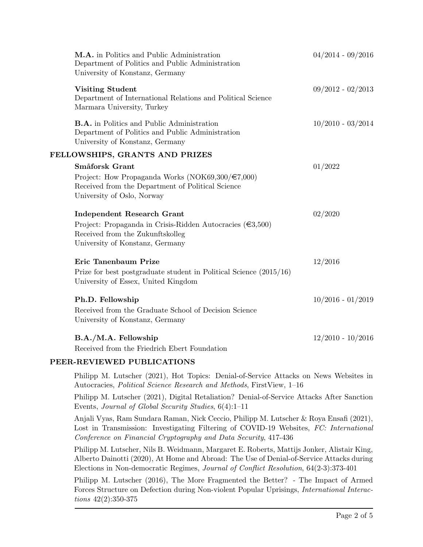| M.A. in Politics and Public Administration<br>Department of Politics and Public Administration<br>University of Konstanz, Germany           | $04/2014 - 09/2016$ |
|---------------------------------------------------------------------------------------------------------------------------------------------|---------------------|
| <b>Visiting Student</b><br>Department of International Relations and Political Science<br>Marmara University, Turkey                        | $09/2012 - 02/2013$ |
| <b>B.A.</b> in Politics and Public Administration<br>Department of Politics and Public Administration<br>University of Konstanz, Germany    | $10/2010 - 03/2014$ |
| FELLOWSHIPS, GRANTS AND PRIZES                                                                                                              |                     |
| Småforsk Grant                                                                                                                              | 01/2022             |
| Project: How Propaganda Works (NOK69,300/ $\in 7,000$ )<br>Received from the Department of Political Science<br>University of Oslo, Norway  |                     |
| <b>Independent Research Grant</b>                                                                                                           | 02/2020             |
| Project: Propaganda in Crisis-Ridden Autocracies ( $\epsilon$ 3,500)<br>Received from the Zukunftskolleg<br>University of Konstanz, Germany |                     |
| Eric Tanenbaum Prize                                                                                                                        | 12/2016             |
| Prize for best postgraduate student in Political Science $(2015/16)$<br>University of Essex, United Kingdom                                 |                     |
| Ph.D. Fellowship                                                                                                                            | $10/2016 - 01/2019$ |
| Received from the Graduate School of Decision Science<br>University of Konstanz, Germany                                                    |                     |
| B.A./M.A. Fellowship<br>Received from the Friedrich Ebert Foundation                                                                        | $12/2010 - 10/2016$ |
|                                                                                                                                             |                     |

# PEER-REVIEWED PUBLICATIONS

Philipp M. Lutscher (2021), Hot Topics: Denial-of-Service Attacks on News Websites in Autocracies, Political Science Research and Methods, FirstView, 1–16

Philipp M. Lutscher (2021), Digital Retaliation? Denial-of-Service Attacks After Sanction Events, Journal of Global Security Studies, 6(4):1–11

Anjali Vyas, Ram Sundara Raman, Nick Ceccio, Philipp M. Lutscher & Roya Ensafi (2021), Lost in Transmission: Investigating Filtering of COVID-19 Websites, FC: International Conference on Financial Cryptography and Data Security, 417-436

Philipp M. Lutscher, Nils B. Weidmann, Margaret E. Roberts, Mattijs Jonker, Alistair King, Alberto Dainotti (2020), At Home and Abroad: The Use of Denial-of-Service Attacks during Elections in Non-democratic Regimes, Journal of Conflict Resolution, 64(2-3):373-401

Philipp M. Lutscher (2016), The More Fragmented the Better? - The Impact of Armed Forces Structure on Defection during Non-violent Popular Uprisings, International Interactions 42(2):350-375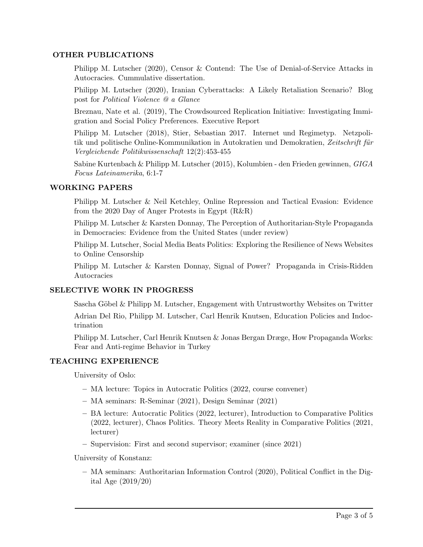## OTHER PUBLICATIONS

Philipp M. Lutscher (2020), Censor & Contend: The Use of Denial-of-Service Attacks in Autocracies. Cummulative dissertation.

Philipp M. Lutscher (2020), Iranian Cyberattacks: A Likely Retaliation Scenario? Blog post for Political Violence @ a Glance

Breznau, Nate et al. (2019), The Crowdsourced Replication Initiative: Investigating Immigration and Social Policy Preferences. Executive Report

Philipp M. Lutscher (2018), Stier, Sebastian 2017. Internet und Regimetyp. Netzpolitik und politische Online-Kommunikation in Autokratien und Demokratien, Zeitschrift für Vergleichende Politikwissenschaft 12(2):453-455

Sabine Kurtenbach & Philipp M. Lutscher (2015), Kolumbien - den Frieden gewinnen, GIGA Focus Lateinamerika, 6:1-7

#### WORKING PAPERS

Philipp M. Lutscher & Neil Ketchley, Online Repression and Tactical Evasion: Evidence from the 2020 Day of Anger Protests in Egypt (R&R)

Philipp M. Lutscher & Karsten Donnay, The Perception of Authoritarian-Style Propaganda in Democracies: Evidence from the United States (under review)

Philipp M. Lutscher, Social Media Beats Politics: Exploring the Resilience of News Websites to Online Censorship

Philipp M. Lutscher & Karsten Donnay, Signal of Power? Propaganda in Crisis-Ridden Autocracies

#### SELECTIVE WORK IN PROGRESS

Sascha Göbel & Philipp M. Lutscher, Engagement with Untrustworthy Websites on Twitter

Adrian Del Rio, Philipp M. Lutscher, Carl Henrik Knutsen, Education Policies and Indoctrination

Philipp M. Lutscher, Carl Henrik Knutsen & Jonas Bergan Dræge, How Propaganda Works: Fear and Anti-regime Behavior in Turkey

#### TEACHING EXPERIENCE

University of Oslo:

- MA lecture: Topics in Autocratic Politics (2022, course convener)
- MA seminars: R-Seminar (2021), Design Seminar (2021)
- BA lecture: Autocratic Politics (2022, lecturer), Introduction to Comparative Politics (2022, lecturer), Chaos Politics. Theory Meets Reality in Comparative Politics (2021, lecturer)
- Supervision: First and second supervisor; examiner (since 2021)

University of Konstanz:

– MA seminars: Authoritarian Information Control (2020), Political Conflict in the Digital Age (2019/20)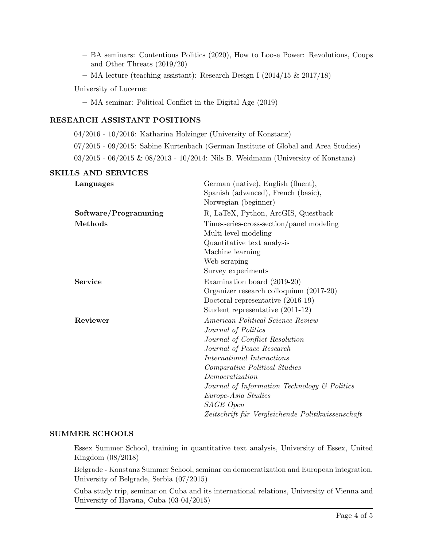- BA seminars: Contentious Politics (2020), How to Loose Power: Revolutions, Coups and Other Threats (2019/20)
- MA lecture (teaching assistant): Research Design I (2014/15 & 2017/18)

University of Lucerne:

– MA seminar: Political Conflict in the Digital Age (2019)

## RESEARCH ASSISTANT POSITIONS

04/2016 - 10/2016: Katharina Holzinger (University of Konstanz)

07/2015 - 09/2015: Sabine Kurtenbach (German Institute of Global and Area Studies)

03/2015 - 06/2015 & 08/2013 - 10/2014: Nils B. Weidmann (University of Konstanz)

## SKILLS AND SERVICES

| Languages            | German (native), English (fluent),<br>Spanish (advanced), French (basic),<br>Norwegian (beginner)                                                                                                                                                                                                                                                         |
|----------------------|-----------------------------------------------------------------------------------------------------------------------------------------------------------------------------------------------------------------------------------------------------------------------------------------------------------------------------------------------------------|
| Software/Programming | R, LaTeX, Python, ArcGIS, Questback                                                                                                                                                                                                                                                                                                                       |
| Methods              | Time-series-cross-section/panel modeling<br>Multi-level modeling<br>Quantitative text analysis<br>Machine learning<br>Web scraping                                                                                                                                                                                                                        |
|                      | Survey experiments                                                                                                                                                                                                                                                                                                                                        |
| <b>Service</b>       | Examination board (2019-20)<br>Organizer research colloquium (2017-20)<br>Doctoral representative $(2016-19)$<br>Student representative $(2011-12)$                                                                                                                                                                                                       |
| Reviewer             | American Political Science Review<br>Journal of Politics<br>Journal of Conflict Resolution<br>Journal of Peace Research<br>International Interactions<br>Comparative Political Studies<br>Democratization<br>Journal of Information Technology & Politics<br><i>Europe-Asia Studies</i><br>SAGE Open<br>Zeitschrift für Vergleichende Politikwissenschaft |

#### SUMMER SCHOOLS

Essex Summer School, training in quantitative text analysis, University of Essex, United Kingdom (08/2018)

Belgrade - Konstanz Summer School, seminar on democratization and European integration, University of Belgrade, Serbia (07/2015)

Cuba study trip, seminar on Cuba and its international relations, University of Vienna and University of Havana, Cuba (03-04/2015)